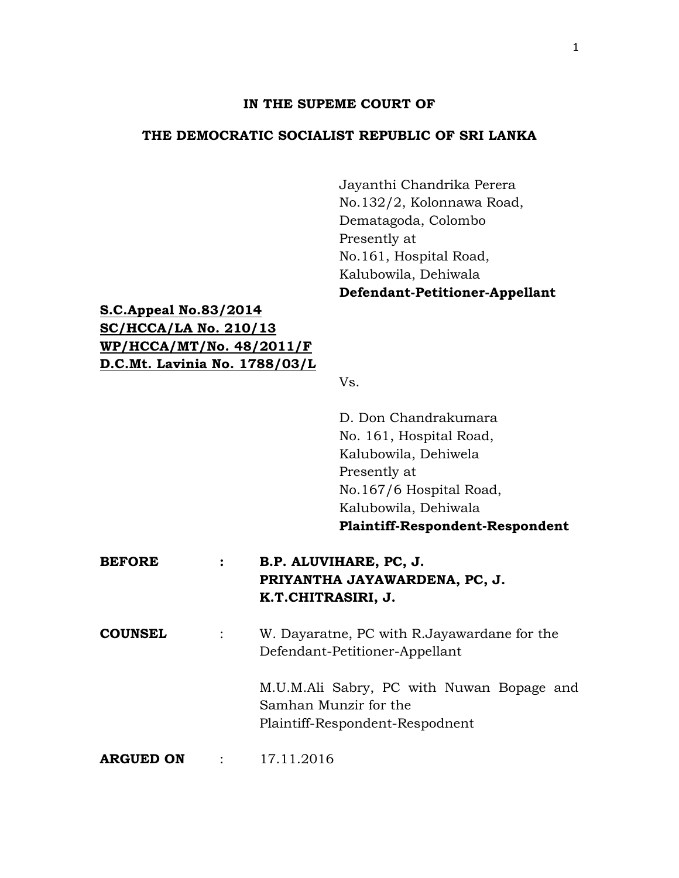#### **IN THE SUPEME COURT OF**

### **THE DEMOCRATIC SOCIALIST REPUBLIC OF SRI LANKA**

Jayanthi Chandrika Perera No.132/2, Kolonnawa Road, Dematagoda, Colombo Presently at No.161, Hospital Road, Kalubowila, Dehiwala **Defendant-Petitioner-Appellant**

# **S.C.Appeal No.83/2014 SC/HCCA/LA No. 210/13 WP/HCCA/MT/No. 48/2011/F D.C.Mt. Lavinia No. 1788/03/L**

Vs.

D. Don Chandrakumara No. 161, Hospital Road, Kalubowila, Dehiwela Presently at No.167/6 Hospital Road, Kalubowila, Dehiwala **Plaintiff-Respondent-Respondent**

## **BEFORE : B.P. ALUVIHARE, PC, J. PRIYANTHA JAYAWARDENA, PC, J. K.T.CHITRASIRI, J.**

**COUNSEL** : W. Dayaratne, PC with R.Jayawardane for the Defendant-Petitioner-Appellant

> M.U.M.Ali Sabry, PC with Nuwan Bopage and Samhan Munzir for the Plaintiff-Respondent-Respodnent

**ARGUED ON** : 17.11.2016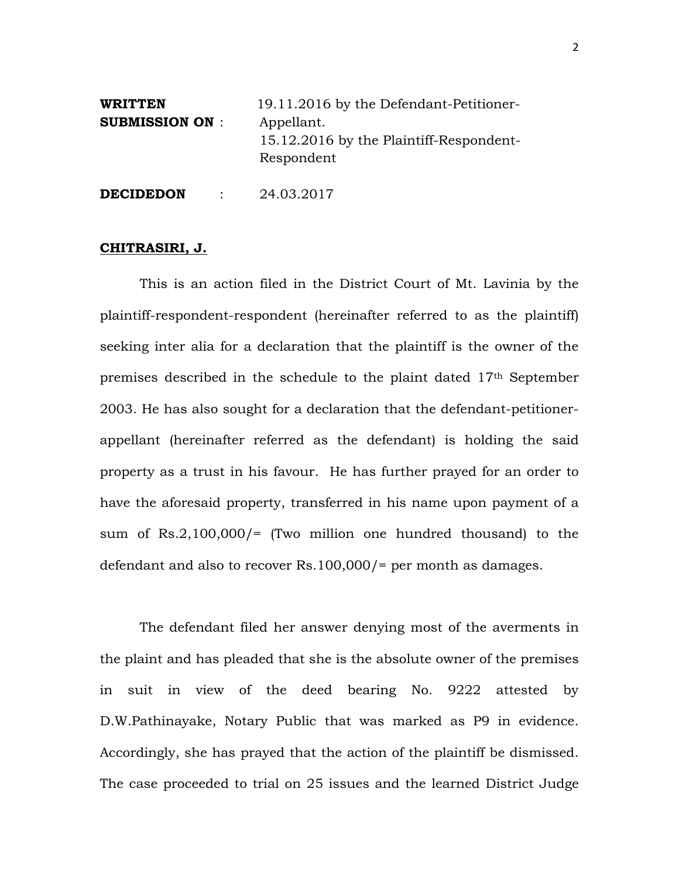| <b>WRITTEN</b><br><b>SUBMISSION ON:</b> |  | 19.11.2016 by the Defendant-Petitioner-                             |
|-----------------------------------------|--|---------------------------------------------------------------------|
|                                         |  | Appellant.<br>15.12.2016 by the Plaintiff-Respondent-<br>Respondent |
| <b>DECIDEDON</b>                        |  | 24.03.2017                                                          |

#### **CHITRASIRI, J.**

This is an action filed in the District Court of Mt. Lavinia by the plaintiff-respondent-respondent (hereinafter referred to as the plaintiff) seeking inter alia for a declaration that the plaintiff is the owner of the premises described in the schedule to the plaint dated 17th September 2003. He has also sought for a declaration that the defendant-petitionerappellant (hereinafter referred as the defendant) is holding the said property as a trust in his favour. He has further prayed for an order to have the aforesaid property, transferred in his name upon payment of a sum of  $Rs.2,100,000/=$  (Two million one hundred thousand) to the defendant and also to recover Rs.100,000/= per month as damages.

The defendant filed her answer denying most of the averments in the plaint and has pleaded that she is the absolute owner of the premises in suit in view of the deed bearing No. 9222 attested by D.W.Pathinayake, Notary Public that was marked as P9 in evidence. Accordingly, she has prayed that the action of the plaintiff be dismissed. The case proceeded to trial on 25 issues and the learned District Judge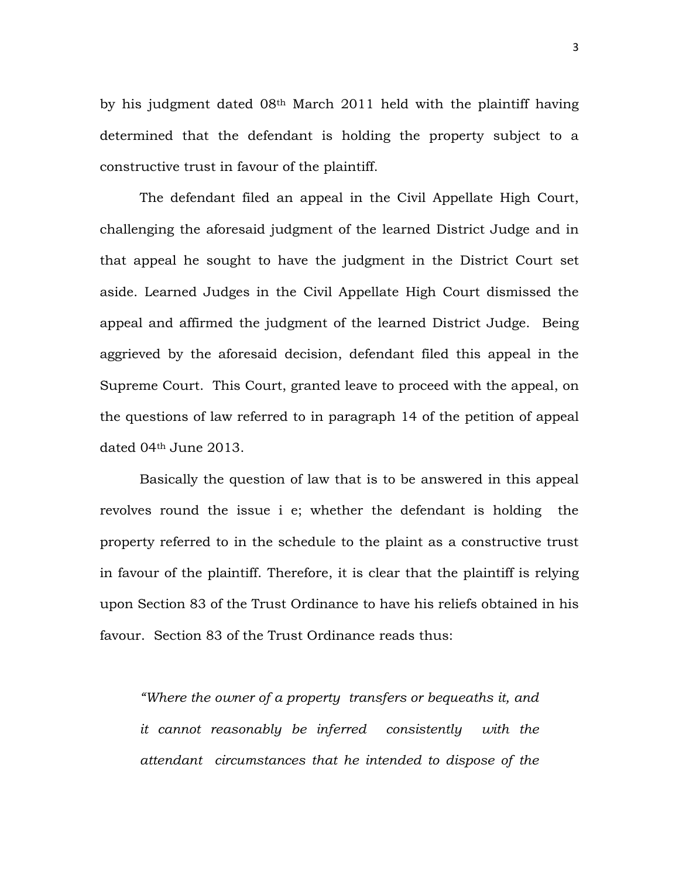by his judgment dated 08th March 2011 held with the plaintiff having determined that the defendant is holding the property subject to a constructive trust in favour of the plaintiff.

The defendant filed an appeal in the Civil Appellate High Court, challenging the aforesaid judgment of the learned District Judge and in that appeal he sought to have the judgment in the District Court set aside. Learned Judges in the Civil Appellate High Court dismissed the appeal and affirmed the judgment of the learned District Judge. Being aggrieved by the aforesaid decision, defendant filed this appeal in the Supreme Court. This Court, granted leave to proceed with the appeal, on the questions of law referred to in paragraph 14 of the petition of appeal dated 04th June 2013.

Basically the question of law that is to be answered in this appeal revolves round the issue i e; whether the defendant is holding the property referred to in the schedule to the plaint as a constructive trust in favour of the plaintiff. Therefore, it is clear that the plaintiff is relying upon Section 83 of the Trust Ordinance to have his reliefs obtained in his favour. Section 83 of the Trust Ordinance reads thus:

*"Where the owner of a property transfers or bequeaths it, and it cannot reasonably be inferred consistently with the attendant circumstances that he intended to dispose of the*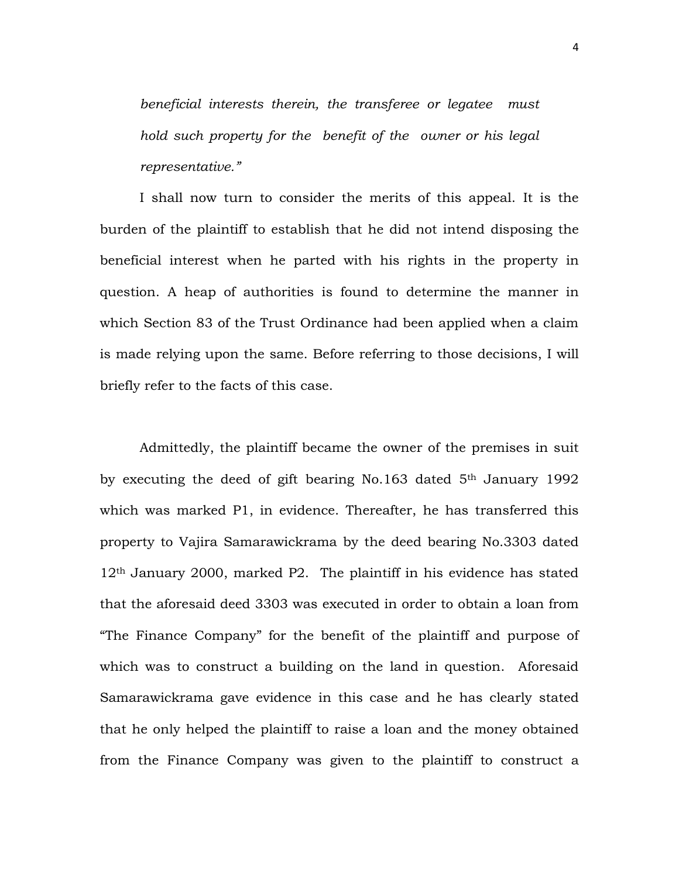*beneficial interests therein, the transferee or legatee must hold such property for the benefit of the owner or his legal representative."*

I shall now turn to consider the merits of this appeal. It is the burden of the plaintiff to establish that he did not intend disposing the beneficial interest when he parted with his rights in the property in question. A heap of authorities is found to determine the manner in which Section 83 of the Trust Ordinance had been applied when a claim is made relying upon the same. Before referring to those decisions, I will briefly refer to the facts of this case.

Admittedly, the plaintiff became the owner of the premises in suit by executing the deed of gift bearing No.163 dated 5<sup>th</sup> January 1992 which was marked P1, in evidence. Thereafter, he has transferred this property to Vajira Samarawickrama by the deed bearing No.3303 dated 12th January 2000, marked P2. The plaintiff in his evidence has stated that the aforesaid deed 3303 was executed in order to obtain a loan from "The Finance Company" for the benefit of the plaintiff and purpose of which was to construct a building on the land in question. Aforesaid Samarawickrama gave evidence in this case and he has clearly stated that he only helped the plaintiff to raise a loan and the money obtained from the Finance Company was given to the plaintiff to construct a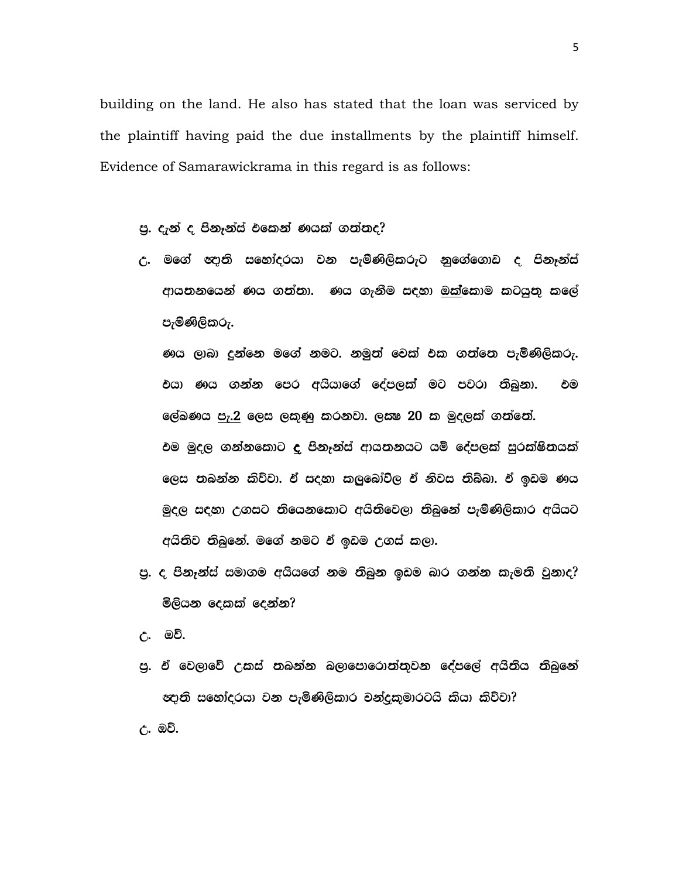building on the land. He also has stated that the loan was serviced by the plaintiff having paid the due installments by the plaintiff himself. Evidence of Samarawickrama in this regard is as follows:

- පු. දැන් ද පිනෑන්ස් එකෙන් ණයක් ගත්තද?
- උ. මගේ ඥානි සහෝදරයා වන පැමිණිලිකරුට නුගේගොඩ ද පිනෑන්ස් ආයතනයෙන් ණය ගත්තා. ණය ගැනීම සඳහා ඔක්කොම කටයුතු කලේ පැමිණිලිකරු.

ණය ලාබා දුන්නෙ මගේ නමට. නමුත් වෙක් එක ගත්තෙ පැමිණිලිකරු. එයා ණය ගන්න පෙර අයියාගේ දේපලක් මට පවරා තිබුනා. එම ලේඛණය පැ.2 ලෙස ලකුණු කරනවා. ල*ස*ෂ 20 ක මුදලක් ගත්තේ. එම මුදල ගන්නකොට **ද** පිනෑන්ස් ආයතනයට යම් දේපලක් සුරක්ෂිතයක් ලෙස තබන්න කිව්වා. ඒ සදහා කලුබෝව්ල ඒ නිවස තිබ්බා. ඒ ඉඩම ණය මුදල සදහා උගසට තියෙනකොට අයිතිවෙලා තිබුනේ පැමිණිලිකාර අයියට අයිතිව තිබුනේ. මගේ නමට ඒ ඉඩම උගස් කලා.

පු. ද පිනෑන්ස් සමාගම අයියගේ නම තිබුන ඉඩම බාර ගන්න කැමති වුනාද? මිලියන දෙකක් දෙන්න?

උ. ඔව්.

'පු. ඒ වෙලාවේ උකස් තබන්න බලාපොරොත්තුවන දේපලේ අයිතිය තිබුනේ &දානි සහෝදරයා වන පැමිණිලිකාර චන්දුකුමාරටයි කියා කිව්වා?

උ. ඔව්.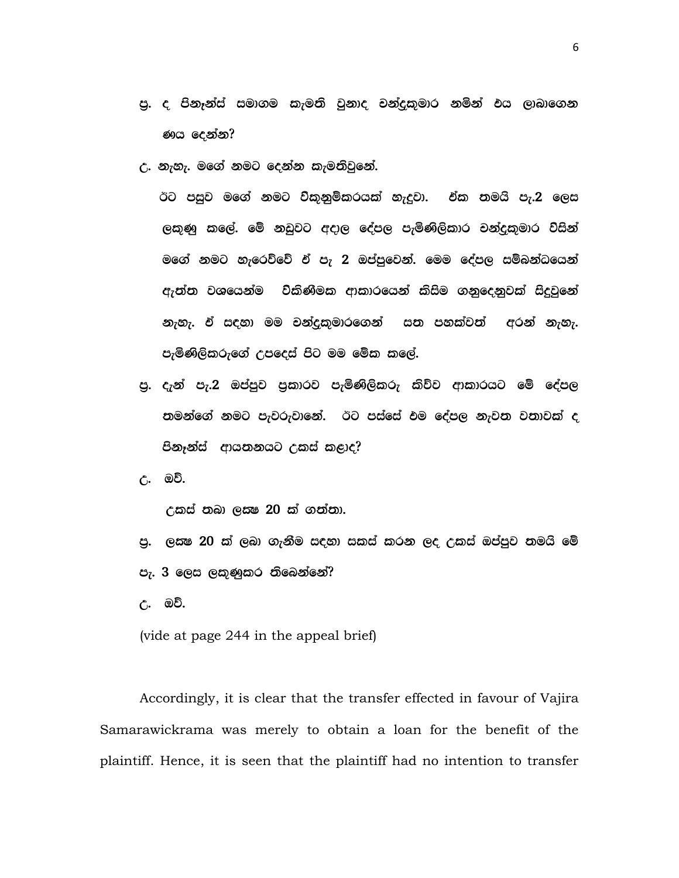- පු. ද පිනෑන්ස් සමාගම කැමති වුනාද චන්දුකුමාර නමින් **එය ලා**බාගෙන ණය දෙන්න?
- උ. නැහැ. මගේ නමට දෙන්න කැමතිවුනේ.

ඊට පසුව මගේ නමට ව්කුනුම්කරයක් හැදුවා. ඒක තමයි පැ.2 ලෙස ලකුණු කලේ. මේ නඩුවට අදාල දේපල පැමිණිලිකාර චන්දුකුමාර විසින් මගේ නමට හැරෙව්වේ ඒ පැ 2 ඔප්පුවෙන්. මෙම දේපල සම්බන්ධයෙන් ඇත්ත වශයෙන්ම විකිණීමක ආකාරයෙන් කිසිම ගනුදෙනුවක් සිදුවුනේ නැහැ. ඒ සඳහා මම චන්දුකුමාරගෙන් සත පහක්වත් අරන් නැහැ. පැමිණිලිකරුගේ උපදෙස් පිට මම මේක කලේ.

පු. දැන් පැ.2 ඔප්පුව පුකාරව පැමිණිලිකරු කිව්ව ආකාරයට මේ දේපල තමන්ගේ නමට පැවරුවානේ. ඊට පස්සේ එම දේපල නැවත වතාවක් ද පිනෑන්ස් ආයතනයට උකස් කළාද?

උ. ඔව්.

 $\epsilon$ යක් තබා ලයෂ 20 ක් ගත්තා.

- පු. ලකෂ 20 ක් ලබා ගැනීම සඳහා සකස් කරන ලද උකස් ඔප්පුව තමයි මේ පැ. 3 ලෙස ලකුණුකර තිබෙන්නේ?
- උ. ඔව්.

(vide at page 244 in the appeal brief)

Accordingly, it is clear that the transfer effected in favour of Vajira Samarawickrama was merely to obtain a loan for the benefit of the plaintiff. Hence, it is seen that the plaintiff had no intention to transfer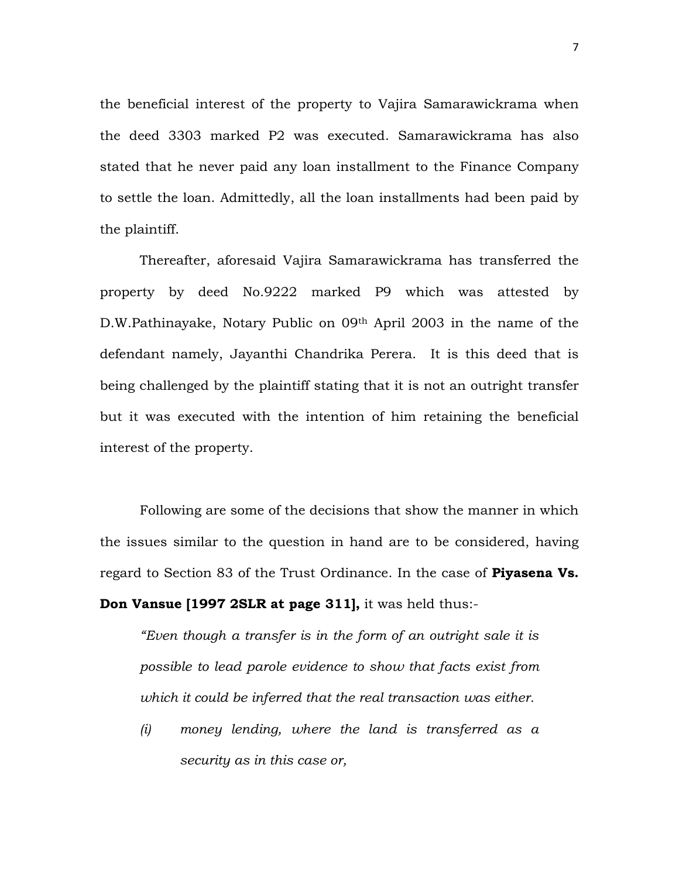the beneficial interest of the property to Vajira Samarawickrama when the deed 3303 marked P2 was executed. Samarawickrama has also stated that he never paid any loan installment to the Finance Company to settle the loan. Admittedly, all the loan installments had been paid by the plaintiff.

Thereafter, aforesaid Vajira Samarawickrama has transferred the property by deed No.9222 marked P9 which was attested by D.W.Pathinayake, Notary Public on 09th April 2003 in the name of the defendant namely, Jayanthi Chandrika Perera. It is this deed that is being challenged by the plaintiff stating that it is not an outright transfer but it was executed with the intention of him retaining the beneficial interest of the property.

Following are some of the decisions that show the manner in which the issues similar to the question in hand are to be considered, having regard to Section 83 of the Trust Ordinance. In the case of **Piyasena Vs. Don Vansue [1997 2SLR at page 311],** it was held thus:-

*"Even though a transfer is in the form of an outright sale it is possible to lead parole evidence to show that facts exist from which it could be inferred that the real transaction was either.*

*(i) money lending, where the land is transferred as a security as in this case or,*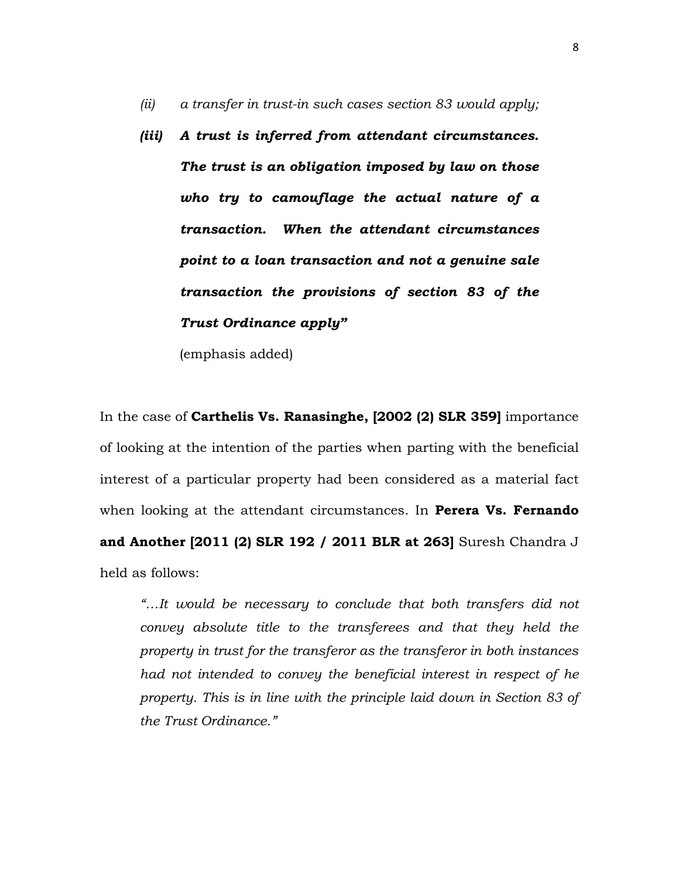- *(ii) a transfer in trust-in such cases section 83 would apply;*
- *(iii) A trust is inferred from attendant circumstances. The trust is an obligation imposed by law on those who try to camouflage the actual nature of a transaction. When the attendant circumstances point to a loan transaction and not a genuine sale transaction the provisions of section 83 of the Trust Ordinance apply"*

(emphasis added)

In the case of **Carthelis Vs. Ranasinghe, [2002 (2) SLR 359]** importance of looking at the intention of the parties when parting with the beneficial interest of a particular property had been considered as a material fact when looking at the attendant circumstances. In **Perera Vs. Fernando and Another [2011 (2) SLR 192 / 2011 BLR at 263]** Suresh Chandra J held as follows:

*"…It would be necessary to conclude that both transfers did not convey absolute title to the transferees and that they held the property in trust for the transferor as the transferor in both instances had not intended to convey the beneficial interest in respect of he property. This is in line with the principle laid down in Section 83 of the Trust Ordinance."*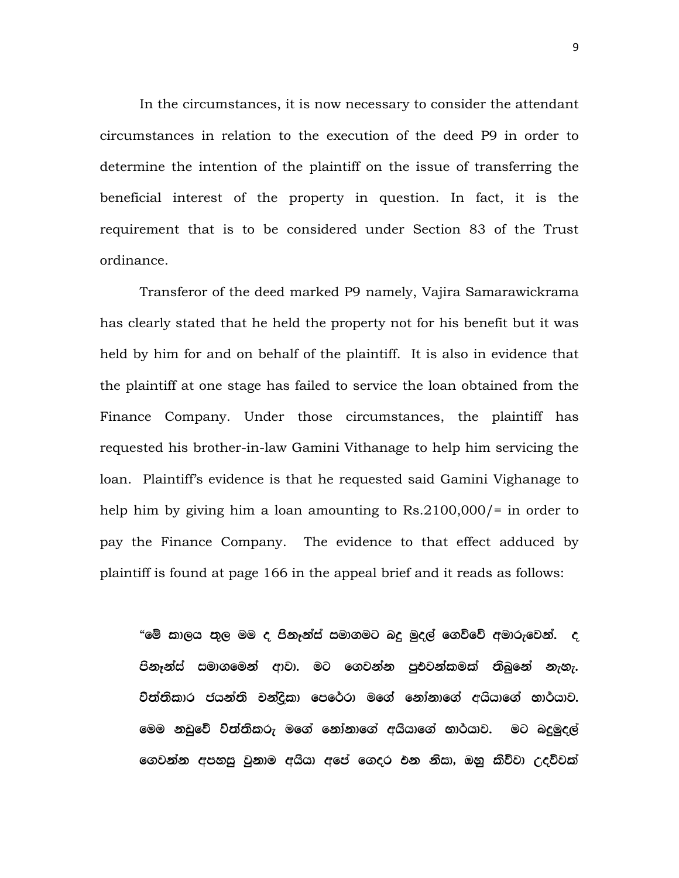In the circumstances, it is now necessary to consider the attendant circumstances in relation to the execution of the deed P9 in order to determine the intention of the plaintiff on the issue of transferring the beneficial interest of the property in question. In fact, it is the requirement that is to be considered under Section 83 of the Trust ordinance.

Transferor of the deed marked P9 namely, Vajira Samarawickrama has clearly stated that he held the property not for his benefit but it was held by him for and on behalf of the plaintiff. It is also in evidence that the plaintiff at one stage has failed to service the loan obtained from the Finance Company. Under those circumstances, the plaintiff has requested his brother-in-law Gamini Vithanage to help him servicing the loan. Plaintiff's evidence is that he requested said Gamini Vighanage to help him by giving him a loan amounting to Rs.2100,000/= in order to pay the Finance Company. The evidence to that effect adduced by plaintiff is found at page 166 in the appeal brief and it reads as follows:

"මේ කාලය තුල මම ද පිනෑන්ස් සමාගමට බදු මුදල් ගෙව්වේ අමාරුවෙන්. ද පිනෑන්ස් සමාගමෙන් ආවා. මට ගෙවන්න පුඑවන්කමක් තිබුනේ නැහැ. විත්තිකාර ජයන්ති චන්දිකා පෙරේරා මගේ නෝනාගේ අයියාගේ භාර්යාව. මෙම නඩුවේ විත්තිකරු මගේ නෝනාගේ අයියාගේ භාර්යාව. මට බදුමුදල් ගෙවන්න අපහසු වුනාම අයියා අපේ ගෙදර එන නිසා, ඔහු කිව්වා උදව්වක්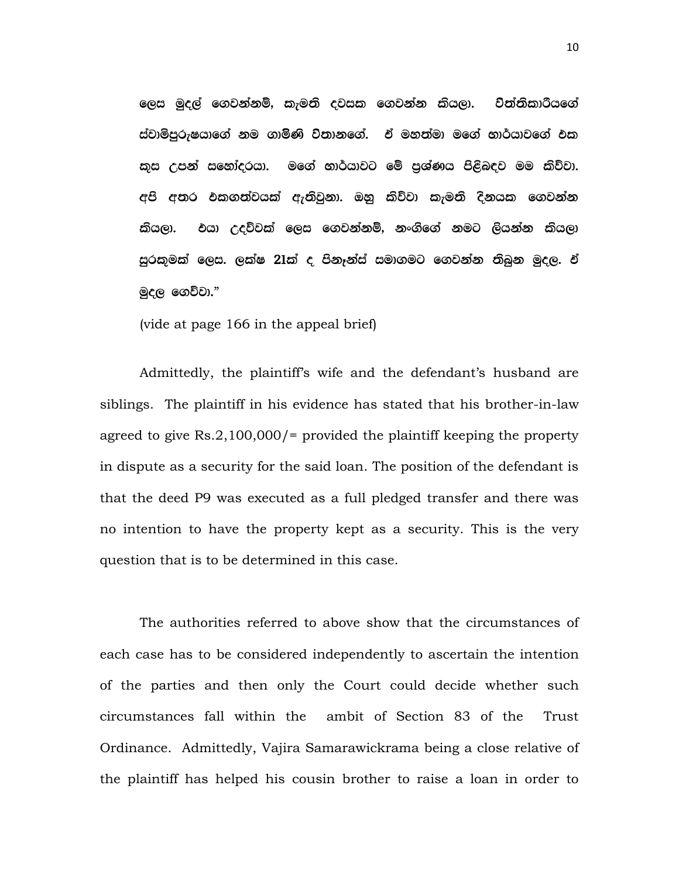ලෙස මුදල් ගෙවන්නම්, කැමති දවසක ගෙවන්න කියලා. චිත්තිකාරීයගේ ස්වාමිපුරුෂයාගේ නම ගාමිණි විතානගේ. ඒ මහත්මා මගේ භාර්යාවගේ එක කුස උපන් සහෝදරයා. මගේ භාර්යාවට මේ පුශ්ණය පිළිබඳව මම කිව්වා. අපි අතර එකගත්වයක් ඇතිවුනා. ඔහු කිව්වා කැමති දිනයක ගෙවන්න කියලා. එයා උදව්වක් ලෙස ගෙවන්නම්, නංගිගේ නමට ලියන්න කියලා සුරකුමක් ලෙස. ලක්ෂ 21ක් ද පිනෑන්ස් සමාගමට ගෙවන්න තිබුන මුදල. ඒ මුදල ගෙවිවා. $"$ 

(vide at page 166 in the appeal brief)

Admittedly, the plaintiff's wife and the defendant's husband are siblings. The plaintiff in his evidence has stated that his brother-in-law agreed to give Rs.2,100,000/= provided the plaintiff keeping the property in dispute as a security for the said loan. The position of the defendant is that the deed P9 was executed as a full pledged transfer and there was no intention to have the property kept as a security. This is the very question that is to be determined in this case.

The authorities referred to above show that the circumstances of each case has to be considered independently to ascertain the intention of the parties and then only the Court could decide whether such circumstances fall within the ambit of Section 83 of the Trust Ordinance. Admittedly, Vajira Samarawickrama being a close relative of the plaintiff has helped his cousin brother to raise a loan in order to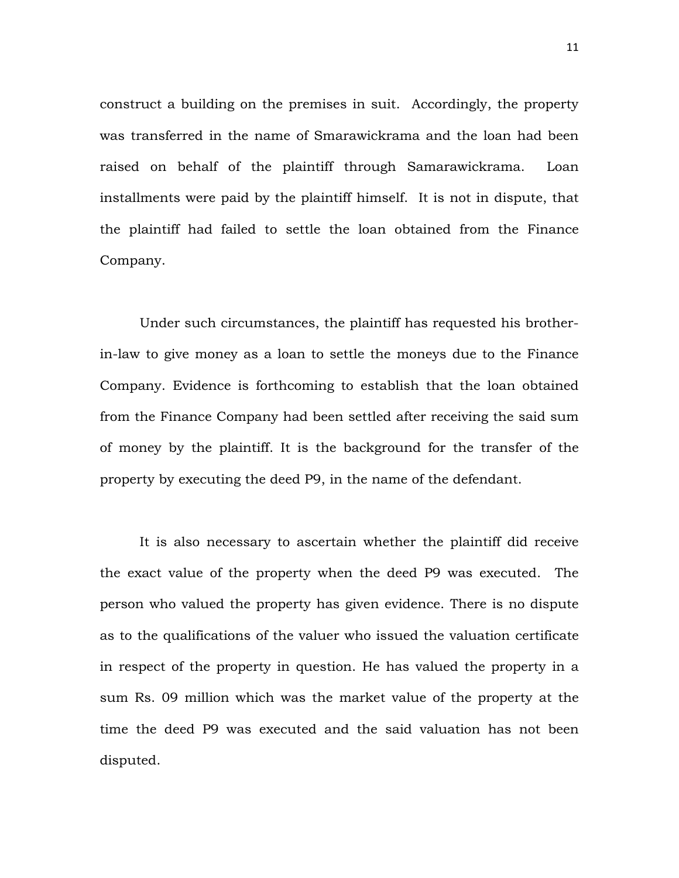construct a building on the premises in suit. Accordingly, the property was transferred in the name of Smarawickrama and the loan had been raised on behalf of the plaintiff through Samarawickrama. Loan installments were paid by the plaintiff himself. It is not in dispute, that the plaintiff had failed to settle the loan obtained from the Finance Company.

Under such circumstances, the plaintiff has requested his brotherin-law to give money as a loan to settle the moneys due to the Finance Company. Evidence is forthcoming to establish that the loan obtained from the Finance Company had been settled after receiving the said sum of money by the plaintiff. It is the background for the transfer of the property by executing the deed P9, in the name of the defendant.

It is also necessary to ascertain whether the plaintiff did receive the exact value of the property when the deed P9 was executed. The person who valued the property has given evidence. There is no dispute as to the qualifications of the valuer who issued the valuation certificate in respect of the property in question. He has valued the property in a sum Rs. 09 million which was the market value of the property at the time the deed P9 was executed and the said valuation has not been disputed.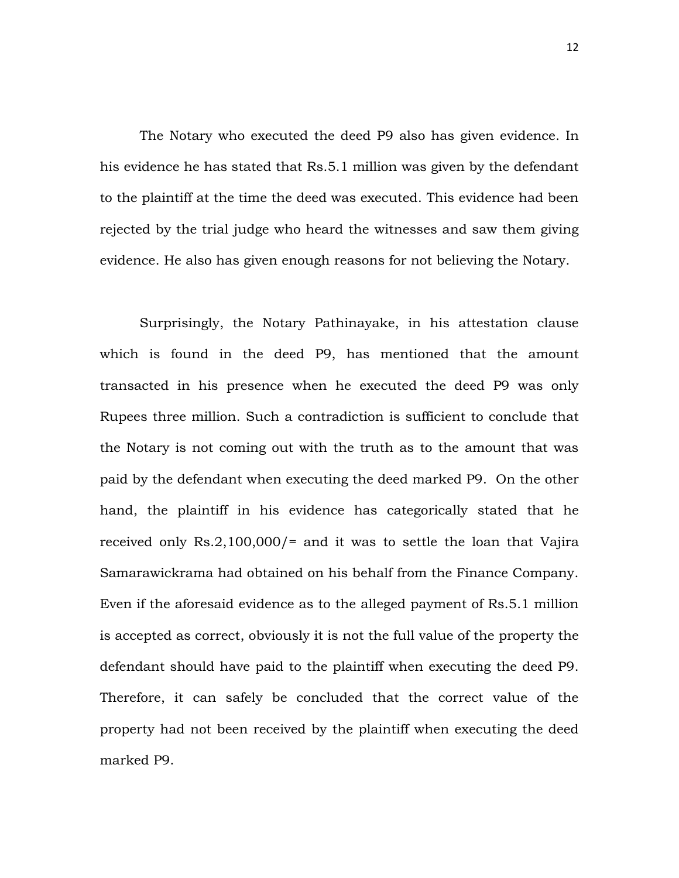The Notary who executed the deed P9 also has given evidence. In his evidence he has stated that Rs.5.1 million was given by the defendant to the plaintiff at the time the deed was executed. This evidence had been rejected by the trial judge who heard the witnesses and saw them giving evidence. He also has given enough reasons for not believing the Notary.

Surprisingly, the Notary Pathinayake, in his attestation clause which is found in the deed P9, has mentioned that the amount transacted in his presence when he executed the deed P9 was only Rupees three million. Such a contradiction is sufficient to conclude that the Notary is not coming out with the truth as to the amount that was paid by the defendant when executing the deed marked P9. On the other hand, the plaintiff in his evidence has categorically stated that he received only Rs.2,100,000/= and it was to settle the loan that Vajira Samarawickrama had obtained on his behalf from the Finance Company. Even if the aforesaid evidence as to the alleged payment of Rs.5.1 million is accepted as correct, obviously it is not the full value of the property the defendant should have paid to the plaintiff when executing the deed P9. Therefore, it can safely be concluded that the correct value of the property had not been received by the plaintiff when executing the deed marked P9.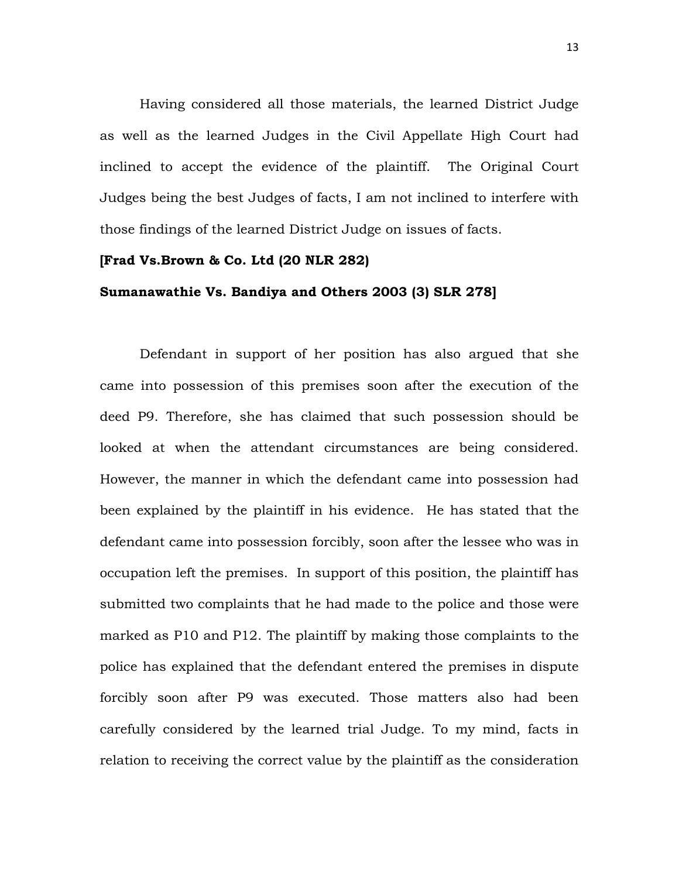Having considered all those materials, the learned District Judge as well as the learned Judges in the Civil Appellate High Court had inclined to accept the evidence of the plaintiff. The Original Court Judges being the best Judges of facts, I am not inclined to interfere with those findings of the learned District Judge on issues of facts.

#### **[Frad Vs.Brown & Co. Ltd (20 NLR 282)**

#### **Sumanawathie Vs. Bandiya and Others 2003 (3) SLR 278]**

Defendant in support of her position has also argued that she came into possession of this premises soon after the execution of the deed P9. Therefore, she has claimed that such possession should be looked at when the attendant circumstances are being considered. However, the manner in which the defendant came into possession had been explained by the plaintiff in his evidence. He has stated that the defendant came into possession forcibly, soon after the lessee who was in occupation left the premises. In support of this position, the plaintiff has submitted two complaints that he had made to the police and those were marked as P10 and P12. The plaintiff by making those complaints to the police has explained that the defendant entered the premises in dispute forcibly soon after P9 was executed. Those matters also had been carefully considered by the learned trial Judge. To my mind, facts in relation to receiving the correct value by the plaintiff as the consideration